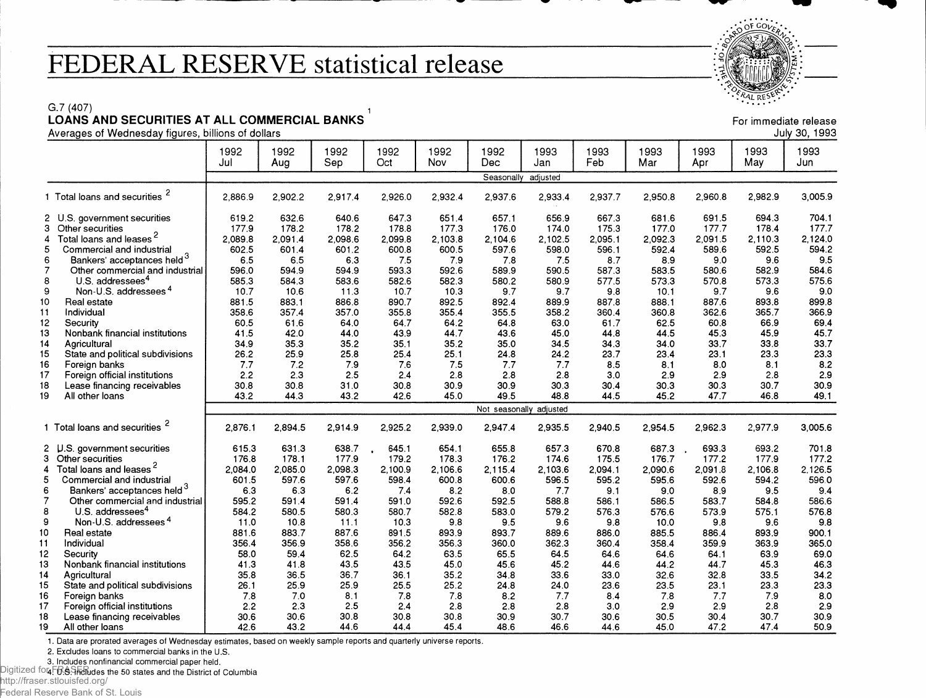## **FEDERAL RESERVE statistical release**



For immediate release

G.7 (407)

## **LOANS AND SECURITIES AT ALL COMMERCIAL BANKS**

|                     |                                                                 | 1992<br>Jul             | 1992<br>Aug   | 1992<br>Sep   | 1992<br>Oct   | 1992<br>Nov   | 1992<br>Dec  | 1993<br>Jan  | 1993<br>Feb  | 1993<br>Mar   | 1993<br>Apr  | 1993<br>May    | 1993<br>Jun    |
|---------------------|-----------------------------------------------------------------|-------------------------|---------------|---------------|---------------|---------------|--------------|--------------|--------------|---------------|--------------|----------------|----------------|
|                     |                                                                 |                         |               |               |               |               | Seasonally   | adjusted     |              |               |              |                |                |
|                     | 1 Total loans and securities <sup>2</sup>                       | 2.886.9                 | 2.902.2       | 2,917.4       | 2.926.0       | 2.932.4       | 2,937.6      | 2,933.4      | 2.937.7      | 2.950.8       | 2,960.8      | 2,982.9        | 3,005.9        |
|                     | 2 U.S. government securities                                    | 619.2                   | 632.6         | 640.6         | 647.3         | 651.4         | 657.1        | 656.9        | 667.3        | 681.6         | 691.5        | 694.3          | 704.1          |
| з                   | Other securities                                                | 177.9                   | 178.2         | 178.2         | 178.8         | 177.3         | 176.0        | 174.0        | 175.3        | 177.0         | 177.7        | 178.4          | 177.7          |
| 4                   | Total loans and leases <sup>2</sup>                             | 2.089.8                 | 2,091.4       | 2.098.6       | 2.099.8       | 2,103.8       | 2.104.6      | 2,102.5      | 2,095.1      | 2,092.3       | 2,091.5      | 2.110.3        | 2,124.0        |
| 5                   | Commercial and industrial                                       | 602.5                   | 601.4         | 601.2         | 600.8         | 600.5         | 597.6        | 598.0        | 596.1        | 592.4         | 589.6        | 592.5          | 594.2          |
| 6                   | Bankers' acceptances held <sup>3</sup>                          | 6.5                     | 6.5           | 6.3           | 7.5           | 7.9           | 7.8          | 7.5          | 8.7          | 8.9           | 9.0          | 9.6            | 9.5            |
| $\overline{7}$<br>8 | Other commercial and industrial<br>U.S. addressees <sup>4</sup> | 596.0                   | 594.9         | 594.9         | 593.3         | 592.6         | 589.9        | 590.5        | 587.3        | 583.5         | 580.6        | 582.9<br>573.3 | 584.6<br>575.6 |
| 9                   | Non-U.S. addressees <sup>4</sup>                                | 585.3<br>10.7           | 584.3<br>10.6 | 583.6<br>11.3 | 582.6<br>10.7 | 582.3<br>10.3 | 580.2<br>9.7 | 580.9<br>9.7 | 577.5<br>9.8 | 573.3<br>10.1 | 570.8<br>9.7 | 9.6            | 9.0            |
| 10                  | Real estate                                                     | 881.5                   | 883.1         | 886.8         | 890.7         | 892.5         | 892.4        | 889.9        | 887.8        | 888.1         | 887.6        | 893.8          | 899.8          |
| 11                  | Individual                                                      | 358.6                   | 357.4         | 357.0         | 355.8         | 355.4         | 355.5        | 358.2        | 360.4        | 360.8         | 362.6        | 365.7          | 366.9          |
| 12                  | Security                                                        | 60.5                    | 61.6          | 64.0          | 64.7          | 64.2          | 64.8         | 63.0         | 61.7         | 62.5          | 60.8         | 66.9           | 69.4           |
| 13                  | Nonbank financial institutions                                  | 41.5                    | 42.0          | 44.0          | 43.9          | 44.7          | 43.6         | 45.0         | 44.8         | 44.5          | 45.3         | 45.9           | 45.7           |
| 14                  | Agricultural                                                    | 34.9                    | 35.3          | 35.2          | 35.1          | 35.2          | 35.0         | 34.5         | 34.3         | 34.0          | 33.7         | 33.8           | 33.7           |
| 15                  | State and political subdivisions                                | 26.2                    | 25.9          | 25.8          | 25.4          | 25.1          | 24.8         | 24.2         | 23.7         | 23.4          | 23.1         | 23.3           | 23.3           |
| 16                  | Foreign banks                                                   | 7.7                     | 7.2           | 7.9           | 7.6           | 7.5           | 7.7          | 7.7          | 8.5          | 8.1           | 8.0          | 8.1            | 8.2            |
| 17                  | Foreign official institutions                                   | 2.2                     | 2.3           | 2.5           | 2.4           | 2.8           | 2.8          | 2.8          | 3.0          | 2.9           | 2.9          | 2.8            | 2.9            |
| 18                  | Lease financing receivables                                     | 30.8                    | 30.8          | 31.0          | 30.8          | 30.9          | 30.9         | 30.3         | 30.4         | 30.3          | 30.3         | 30.7           | 30.9           |
| 19                  | All other loans                                                 | 43.2                    | 44.3          | 43.2          | 42.6          | 45.0          | 49.5         | 48.8         | 44.5         | 45.2          | 47.7         | 46.8           | 49.1           |
|                     |                                                                 | Not seasonally adjusted |               |               |               |               |              |              |              |               |              |                |                |
|                     | 1 Total loans and securities <sup>2</sup>                       | 2.876.1                 | 2,894.5       | 2,914.9       | 2,925.2       | 2,939.0       | 2,947.4      | 2,935.5      | 2,940.5      | 2.954.5       | 2.962.3      | 2,977.9        | 3.005.6        |
|                     | $2 \cdot \text{U.S.}$<br>government securities                  | 615.3                   | 631.3         | 638.7         | 645.1         | 654.1         | 655.8        | 657.3        | 670.8        | 687.3         | 693.3        | 693.2          | 701.8          |
|                     | 3 Other securities                                              | 176.8                   | 178.1         | 177.9         | 179.2         | 178.3         | 176.2        | 174.6        | 175.5        | 176.7         | 177.2        | 177.9          | 177.2          |
| 4                   | Total loans and leases <sup>2</sup>                             | 2.084.0                 | 2,085.0       | 2,098.3       | 2,100.9       | 2.106.6       | 2.115.4      | 2.103.6      | 2,094.1      | 2.090.6       | 2.091.8      | 2.106.8        | 2.126.5        |
| 5                   | Commercial and industrial                                       | 601.5                   | 597.6         | 597.6         | 598.4         | 600.8         | 600.6        | 596.5        | 595.2        | 595.6         | 592.6        | 594.2          | 596.0          |
| 6                   | Bankers' acceptances held <sup>3</sup>                          | 6.3                     | 6.3           | 6.2           | 7.4           | 8.2           | 8.0          | 7.7          | 9.1          | 9.0           | 8.9          | 9.5            | 9.4            |
| 7                   | Other commercial and industrial                                 | 595.2                   | 591.4         | 591.4         | 591.0         | 592.6         | 592.5        | 588.8        | 586.1        | 586.5         | 583.7        | 584.8          | 586.6          |
| 8                   | U.S. addressees <sup>4</sup>                                    | 584.2                   | 580.5         | 580.3         | 580.7         | 582.8         | 583.0        | 579.2        | 576.3        | 576.6         | 573.9        | 575.1          | 576.8          |
| 9                   | Non-U.S. addressees <sup>4</sup>                                | 11.0                    | 10.8          | 11.1          | 10.3          | 9.8           | 9.5          | 9.6          | 9.8          | 10.0          | 9.8          | 9.6            | 9.8            |
| 10                  | Real estate                                                     | 881.6                   | 883.7         | 887.6         | 891.5         | 893.9         | 893.7        | 889.6        | 886.0        | 885.5         | 886.4        | 893.9          | 900.1          |
| 11                  | Individual                                                      | 356.4                   | 356.9         | 358.6         | 356.2         | 356.3         | 360.0        | 362.3        | 360.4        | 358.4         | 359.9        | 363.9          | 365.0          |
| 12                  | Security                                                        | 58.0                    | 59.4          | 62.5          | 64.2          | 63.5          | 65.5         | 64.5         | 64.6         | 64.6          | 64.1         | 63.9           | 69.0           |
| 13<br>14            | Nonbank financial institutions                                  | 41.3<br>35.8            | 41.8<br>36.5  | 43.5<br>36.7  | 43.5<br>36.1  | 45.0<br>35.2  | 45.6<br>34.8 | 45.2<br>33.6 | 44.6<br>33.0 | 44.2<br>32.6  | 44.7<br>32.8 | 45.3<br>33.5   | 46.3           |
| 15                  | Agricultural                                                    | 26.1                    | 25.9          | 25.9          | 25.5          | 25.2          | 24.8         | 24.0         | 23.6         | 23.5          | 23.1         | 23.3           | 34.2<br>23.3   |
| 16                  | State and political subdivisions<br>Foreign banks               | 7.8                     | 7.0           | 8.1           | 7.8           | 7.8           | 8.2          | 7.7          | 8.4          | 7.8           | 7.7          | 7.9            | 8.0            |
| 17                  | Foreign official institutions                                   | 2.2                     | 2.3           | 2.5           | 2.4           | 2.8           | 2.8          | 2.8          | 3.0          | 2.9           | 2.9          | 2.8            | 2.9            |
| 18                  | Lease financing receivables                                     | 30.6                    | 30.6          | 30.8          | 30.8          | 30.8          | 30.9         | 30.7         | 30.6         | 30.5          | 30.4         | 30.7           | 30.9           |
| 19                  | All other loans                                                 | 42.6                    | 43.2          | 44.6          | 44.4          | 45.4          | 48.6         | 46.6         | 44.6         | 45.0          | 47.2         | 47.4           | 50.9           |

1. Data are prorated averages of Wednesday estimates, based on weekly sample reports and quarterly universe reports.

2. Excludes loans to commercial banks in the U.S.

3. Includes nonfinancial commercial paper held.

Digitized fon FRSShahudes the 50 states and the District of Columbia

http://fraser.stlouisfed.org/ Federal Reserve Bank of St. Louis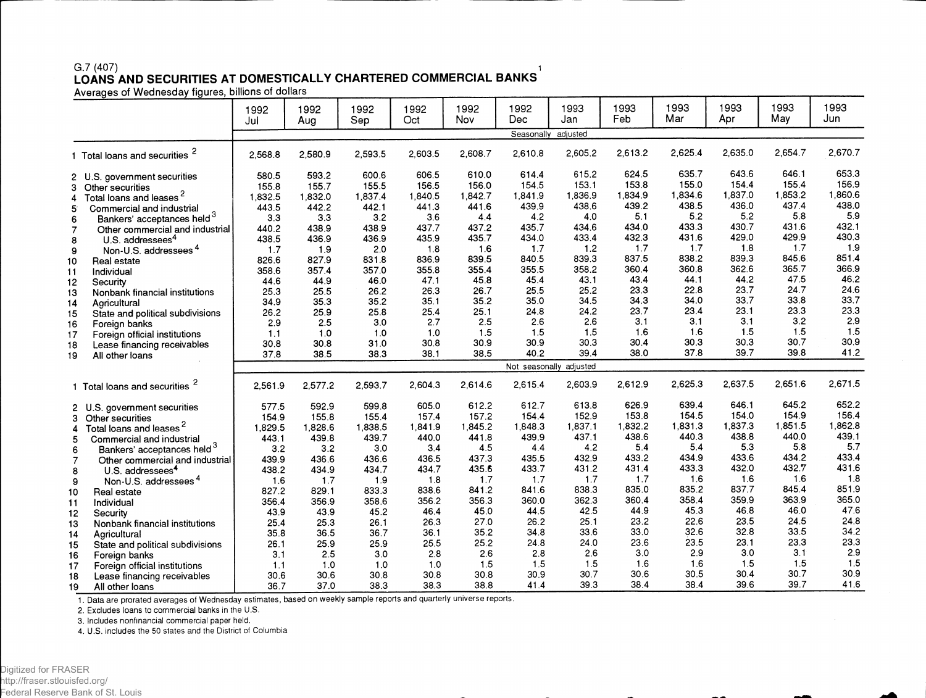## G.7 (407) 2012 12:00:00 12:00:00 12:00:00 12:00:00 12:00:00 12:00:00 12:00:00 12:00:00 12:00:00 12:00:00 1 **LOANS AND SECURITIES AT DOMESTICALLY CHARTERED COMMERCIAL BANKS**

|                |                                           | 1992<br>Jul | 1992<br>Aug | 1992<br>Sep | 1992<br>Oct | 1992<br>Nov | 1992<br><b>Dec</b> | 1993<br>Jan | 1993<br>Feb | 1993<br>Mar | 1993<br>Apr | 1993<br>May | 1993<br>Jun |
|----------------|-------------------------------------------|-------------|-------------|-------------|-------------|-------------|--------------------|-------------|-------------|-------------|-------------|-------------|-------------|
|                |                                           |             |             |             |             |             | Seasonally         | adjusted    |             |             |             |             |             |
|                | 1 Total loans and securities <sup>2</sup> | 2.568.8     | 2,580.9     | 2,593.5     | 2.603.5     | 2,608.7     | 2,610.8            | 2,605.2     | 2,613.2     | 2.625.4     | 2,635.0     | 2,654.7     | 2,670.7     |
|                | 2 U.S. government securities              | 580.5       | 593.2       | 600.6       | 606.5       | 610.0       | 614.4              | 615.2       | 624.5       | 635.7       | 643.6       | 646.1       | 653.3       |
| 3              | Other securities                          | 155.8       | 155.7       | 155.5       | 156.5       | 156.0       | 154.5              | 153.1       | 153.8       | 155.0       | 154.4       | 155.4       | 156.9       |
| 4              | Total loans and leases <sup>2</sup>       | 1,832.5     | 1,832.0     | 1.837.4     | 1.840.5     | 1,842.7     | 1,841.9            | 1,836.9     | 1,834.9     | 1,834.6     | 1,837.0     | 1,853.2     | ,860.6      |
| 5              | Commercial and industrial                 | 443.5       | 442.2       | 442.1       | 441.3       | 441.6       | 439.9              | 438.6       | 439.2       | 438.5       | 436.0       | 437.4       | 438.0       |
| 6              | Bankers' acceptances held <sup>3</sup>    | 3.3         | 3.3         | 3.2         | 3.6         | 4.4         | 4.2                | 4.0         | 5.1         | 5.2         | 5.2         | 5.8         | 5.9         |
| $\overline{7}$ | Other commercial and industrial           | 440.2       | 438.9       | 438.9       | 437.7       | 437.2       | 435.7              | 434.6       | 434.0       | 433.3       | 430.7       | 431.6       | 432.1       |
| 8              | U.S. addressees <sup>4</sup>              | 438.5       | 436.9       | 436.9       | 435.9       | 435.7       | 434.0              | 433.4       | 432.3       | 431.6       | 429.0       | 429.9       | 430.3       |
| 9              | Non-U.S. addressees <sup>4</sup>          | 1.7         | 1.9         | 2.0         | 1.8         | 1.6         | 1.7                | 1.2         | 1.7         | 1.7         | 1.8         | 1.7         | 1.9         |
| 10             | Real estate                               | 826.6       | 827.9       | 831.8       | 836.9       | 839.5       | 840.5              | 839.3       | 837.5       | 838.2       | 839.3       | 845.6       | 851.4       |
| 11             | Individual                                | 358.6       | 357.4       | 357.0       | 355.8       | 355.4       | 355.5              | 358.2       | 360.4       | 360.8       | 362.6       | 365.7       | 366.9       |
| 12             | Security                                  | 44.6        | 44.9        | 46.0        | 47.1        | 45.8        | 45.4               | 43.1        | 43.4        | 44.1        | 44.2        | 47.5        | 46.2        |
| 13             | Nonbank financial institutions            | 25.3        | 25.5        | 26.2        | 26.3        | 26.7        | 25.5               | 25.2        | 23.3        | 22.8        | 23.7        | 24.7        | 24.6        |
| 14             | Agricultural                              | 34.9        | 35.3        | 35.2        | 35.1        | 35.2        | 35.0               | 34.5        | 34.3        | 34.0        | 33.7        | 33.8        | 33.7        |
| 15             | State and political subdivisions          | 26.2        | 25.9        | 25.8        | 25.4        | 25.1        | 24.8               | 24.2        | 23.7        | 23.4        | 23.1        | 23.3        | 23.3        |
| 16             | Foreign banks                             | 2.9         | 2.5         | 3.0         | 2.7         | 2.5         | 2.6                | 2.6         | 3.1         | 3.1         | 3.1         | 3.2         | 2.9         |
| 17             | Foreign official institutions             | 1.1         | 1.0         | 1.0         | 1.0         | 1.5         | 1.5                | 1.5         | 1.6         | 1.6         | 1.5         | 1.5         | 1.5         |
| 18             | Lease financing receivables               | 30.8        | 30.8        | 31.0        | 30.8        | 30.9        | 30.9               | 30.3        | 30.4        | 30.3        | 30.3        | 30.7        | 30.9        |
| 19             | All other loans                           | 37.8        | 38.5        | 38.3        | 38.1        | 38.5        | 40.2               | 39.4        | 38.0        | 37.8        | 39.7        | 39.8        | 41.2        |
|                |                                           |             |             |             |             |             | Not seasonally     | adjusted    |             |             |             |             |             |
|                | 1 Total loans and securities              | 2.561.9     | 2,577.2     | 2,593.7     | 2.604.3     | 2.614.6     | 2,615.4            | 2,603.9     | 2,612.9     | 2,625.3     | 2,637.5     | 2,651.6     | 2,671.5     |
|                | 2 U.S. government securities              | 577.5       | 592.9       | 599.8       | 605.0       | 612.2       | 612.7              | 613.8       | 626.9       | 639.4       | 646.1       | 645.2       | 652.2       |
|                | 3 Other securities                        | 154.9       | 155.8       | 155.4       | 157.4       | 157.2       | 154.4              | 152.9       | 153.8       | 154.5       | 154.0       | 154.9       | 156.4       |
| 4              | Total loans and leases <sup>2</sup>       | 1,829.5     | 1,828.6     | 1,838.5     | 1,841.9     | 1,845.2     | 1,848.3            | 1,837.1     | 1,832.2     | 1,831.3     | 1,837.3     | 1,851.5     | 1,862.8     |
| 5              | Commercial and industrial                 | 443.1       | 439.8       | 439.7       | 440.0       | 441.8       | 439.9              | 437.1       | 438.6       | 440.3       | 438.8       | 440.0       | 439.1       |
| 6              | Bankers' acceptances held <sup>3</sup>    | 3.2         | 3.2         | 3.0         | 3.4         | 4.5         | 4.4                | 4.2         | 5.4         | 5.4         | 5.3         | 5.8         | 5.7         |
| $\overline{7}$ | Other commercial and industrial           | 439.9       | 436.6       | 436.6       | 436.5       | 437.3       | 435.5              | 432.9       | 433.2       | 434.9       | 433.6       | 434.2       | 433.4       |
| 8              | U.S. addressees <sup>4</sup>              | 438.2       | 434.9       | 434.7       | 434.7       | 435.6       | 433.7              | 431.2       | 431.4       | 433.3       | 432.0       | 432.7       | 431.6       |
| 9              | Non-U.S. addressees <sup>4</sup>          | 1.6         | 1.7         | 1.9         | 1.8         | 1.7         | 1.7                | 1.7         | 1.7         | 1.6         | 1.6         | 1.6         | 1.8         |
| 10             | Real estate                               | 827.2       | 829.1       | 833.3       | 838.6       | 841.2       | 841.6              | 838.3       | 835.0       | 835.2       | 837.7       | 845.4       | 851.9       |
| 11             | Individual                                | 356.4       | 356.9       | 358.6       | 356.2       | 356.3       | 360.0              | 362.3       | 360.4       | 358.4       | 359.9       | 363.9       | 365.0       |
| 12             | Security                                  | 43.9        | 43.9        | 45.2        | 46.4        | 45.0        | 44.5               | 42.5        | 44.9        | 45.3        | 46.8        | 46.0        | 47.6        |
| 13             | Nonbank financial institutions            | 25.4        | 25.3        | 26.1        | 26.3        | 27.0        | 26.2               | 25.1        | 23.2        | 22.6        | 23.5        | 24.5        | 24.8        |
| 14             | Agricultural                              | 35.8        | 36.5        | 36.7        | 36.1        | 35.2        | 34.8               | 33.6        | 33.0        | 32.6        | 32.8        | 33.5        | 34.2        |
| 15             | State and political subdivisions          | 26.1        | 25.9        | 25.9        | 25.5        | 25.2        | 24.8               | 24.0        | 23.6        | 23.5        | 23.1        | 23.3        | 23.3        |
| 16             | Foreign banks                             | 3.1         | 2.5         | 3.0         | 2.8         | 2.6         | 2.8                | 2.6         | 3.0         | 2.9         | 3.0         | 3.1         | 2.9         |
| 17             | Foreign official institutions             | 1.1         | 1.0         | 1.0         | 1.0         | 1.5         | 1.5                | 1.5         | 1.6         | 1.6         | 1.5         | 1.5         | 1.5         |
| 18             | Lease financing receivables               | 30.6        | 30.6        | 30.8        | 30.8        | 30.8        | 30.9               | 30.7        | 30.6        | 30.5        | 30.4        | 30.7        | 30.9        |
| 19             | All other loans                           | 36.7        | 37.0        | 38.3        | 38.3        | 38.8        | 41.4               | 39.3        | 38.4        | 38.4        | 39.6        | 39.7        | 41.6        |

1. Data are prorated averages of Wednesday estimates, based on weekly sample reports and quarterly universe reports.

2. Excludes loans to commercial banks in the U.S.

3. Includes nonfinancial commercial paper held.

4. U.S. includes the 50 states and the District of Columbia